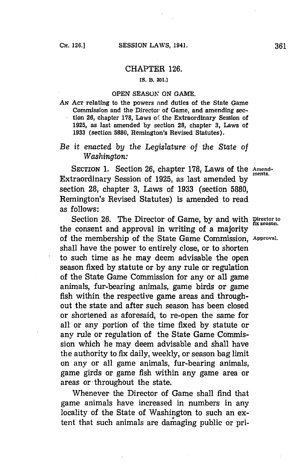#### CHAPTER **126.**

### *(S.* **B. 301.]**

#### **OPEN** *SEASON ON* **GAME.**

**ANi ACT** relating to the powers nnd duties of the State Game Commission and the Director of Game, and amending section **26,** chapter **178,** Laws of the Extraordinary Session of **1925,** as last amended **by** section **28,** chapter **3,** Laws of **1933** (section **5880,** Remington's Revised Statutes).

## *Be* it *enacted by the Legislature of* the *State of Washington:*

SECTION 1. Section 26, chapter 178, Laws of the Amend-Extraordinary Session of **1925,** as last amended **by** section **28,** chapter **3,** Laws of **1933** (section **5880,** Remington's Revised Statutes) is amended to read as follows:

Section 26. The Director of Game, by and with **Director to** fix season. the consent and approval in writing of a majority of the membership of the State Game Commission, **Approval.** shall have the power to entirely close, or to shorten to such time as he may deem advisable the open season fixed **by** statute or **by** any rule or regulation of the State Game Commission for any or all game animals, fur-bearing animals, game birds or game fish within the respective game areas and throughout the state and after such season has been closed or shortened as aforesaid, to re-open the same for all or any portion of the time fixed **by** statute or any rule or regulation of the State Game Commission which he may deem advisable and shall have the authority to fix daily, weekly, or season bag limit on any or all game animals, fur-bearing animals, game girds or game fish within any game area or areas or-throughout the state.

Whenever the Director of Game shall find that game animals have increased in numbers in any locality of the State of Washington to such an extent that such animals are damaging public or pri-